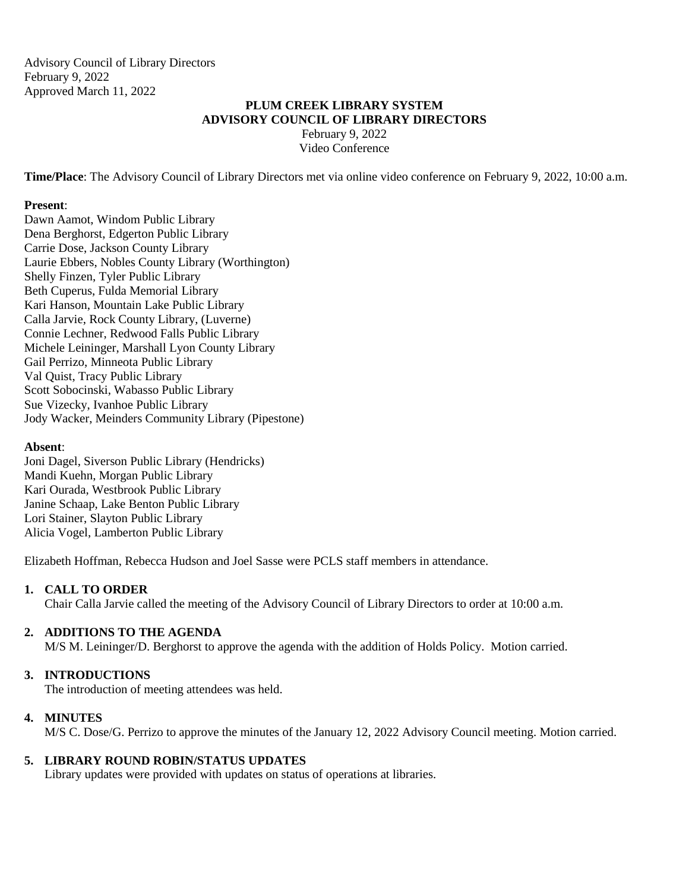Advisory Council of Library Directors February 9, 2022 Approved March 11, 2022

# **PLUM CREEK LIBRARY SYSTEM ADVISORY COUNCIL OF LIBRARY DIRECTORS**

February 9, 2022 Video Conference

**Time/Place**: The Advisory Council of Library Directors met via online video conference on February 9, 2022, 10:00 a.m.

### **Present**:

Dawn Aamot, Windom Public Library Dena Berghorst, Edgerton Public Library Carrie Dose, Jackson County Library Laurie Ebbers, Nobles County Library (Worthington) Shelly Finzen, Tyler Public Library Beth Cuperus, Fulda Memorial Library Kari Hanson, Mountain Lake Public Library Calla Jarvie, Rock County Library, (Luverne) Connie Lechner, Redwood Falls Public Library Michele Leininger, Marshall Lyon County Library Gail Perrizo, Minneota Public Library Val Quist, Tracy Public Library Scott Sobocinski, Wabasso Public Library Sue Vizecky, Ivanhoe Public Library Jody Wacker, Meinders Community Library (Pipestone)

### **Absent**:

Joni Dagel, Siverson Public Library (Hendricks) Mandi Kuehn, Morgan Public Library Kari Ourada, Westbrook Public Library Janine Schaap, Lake Benton Public Library Lori Stainer, Slayton Public Library Alicia Vogel, Lamberton Public Library

Elizabeth Hoffman, Rebecca Hudson and Joel Sasse were PCLS staff members in attendance.

### **1. CALL TO ORDER**

Chair Calla Jarvie called the meeting of the Advisory Council of Library Directors to order at 10:00 a.m.

### **2. ADDITIONS TO THE AGENDA**

M/S M. Leininger/D. Berghorst to approve the agenda with the addition of Holds Policy. Motion carried.

### **3. INTRODUCTIONS**

The introduction of meeting attendees was held.

### **4. MINUTES**

M/S C. Dose/G. Perrizo to approve the minutes of the January 12, 2022 Advisory Council meeting. Motion carried.

### **5. LIBRARY ROUND ROBIN/STATUS UPDATES**

Library updates were provided with updates on status of operations at libraries.